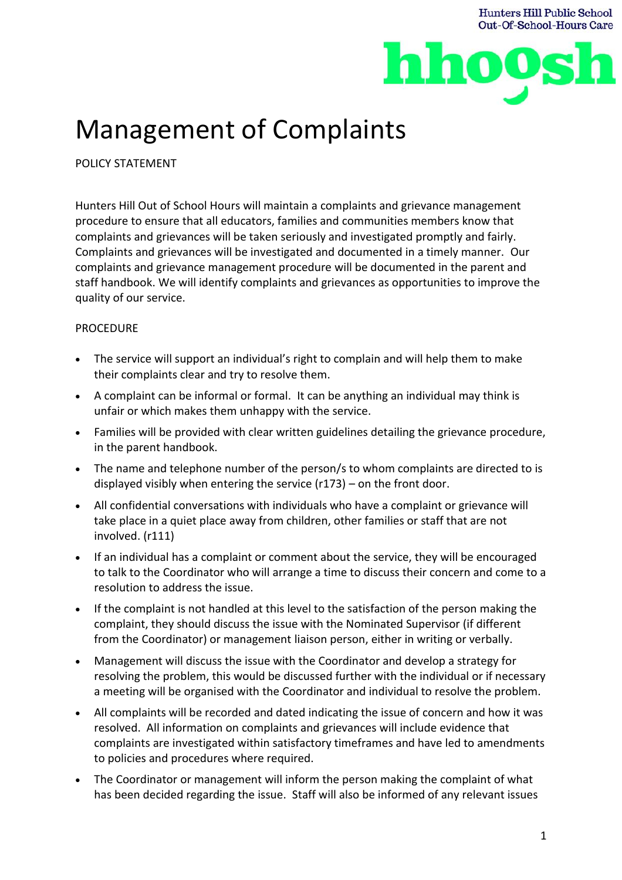



## Management of Complaints

POLICY STATEMENT

Hunters Hill Out of School Hours will maintain a complaints and grievance management procedure to ensure that all educators, families and communities members know that complaints and grievances will be taken seriously and investigated promptly and fairly. Complaints and grievances will be investigated and documented in a timely manner. Our complaints and grievance management procedure will be documented in the parent and staff handbook. We will identify complaints and grievances as opportunities to improve the quality of our service.

## **PROCEDURE**

- The service will support an individual's right to complain and will help them to make their complaints clear and try to resolve them.
- A complaint can be informal or formal. It can be anything an individual may think is unfair or which makes them unhappy with the service.
- Families will be provided with clear written guidelines detailing the grievance procedure, in the parent handbook.
- The name and telephone number of the person/s to whom complaints are directed to is displayed visibly when entering the service (r173) – on the front door.
- All confidential conversations with individuals who have a complaint or grievance will take place in a quiet place away from children, other families or staff that are not involved. (r111)
- If an individual has a complaint or comment about the service, they will be encouraged to talk to the Coordinator who will arrange a time to discuss their concern and come to a resolution to address the issue.
- If the complaint is not handled at this level to the satisfaction of the person making the complaint, they should discuss the issue with the Nominated Supervisor (if different from the Coordinator) or management liaison person, either in writing or verbally.
- Management will discuss the issue with the Coordinator and develop a strategy for resolving the problem, this would be discussed further with the individual or if necessary a meeting will be organised with the Coordinator and individual to resolve the problem.
- All complaints will be recorded and dated indicating the issue of concern and how it was resolved. All information on complaints and grievances will include evidence that complaints are investigated within satisfactory timeframes and have led to amendments to policies and procedures where required.
- The Coordinator or management will inform the person making the complaint of what has been decided regarding the issue. Staff will also be informed of any relevant issues